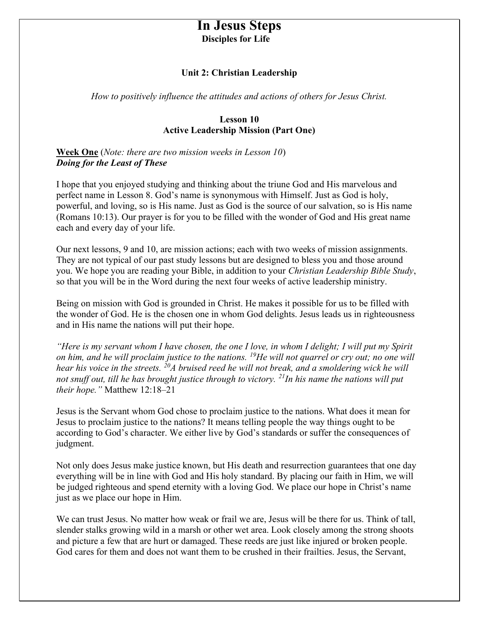# In Jesus Steps Disciples for Life

#### Unit 2: Christian Leadership

How to positively influence the attitudes and actions of others for Jesus Christ.

#### Lesson 10 Active Leadership Mission (Part One)

Week One (Note: there are two mission weeks in Lesson 10) Doing for the Least of These

I hope that you enjoyed studying and thinking about the triune God and His marvelous and perfect name in Lesson 8. God's name is synonymous with Himself. Just as God is holy, powerful, and loving, so is His name. Just as God is the source of our salvation, so is His name (Romans 10:13). Our prayer is for you to be filled with the wonder of God and His great name each and every day of your life.

Our next lessons, 9 and 10, are mission actions; each with two weeks of mission assignments. They are not typical of our past study lessons but are designed to bless you and those around you. We hope you are reading your Bible, in addition to your Christian Leadership Bible Study, so that you will be in the Word during the next four weeks of active leadership ministry.

Being on mission with God is grounded in Christ. He makes it possible for us to be filled with the wonder of God. He is the chosen one in whom God delights. Jesus leads us in righteousness and in His name the nations will put their hope.

"Here is my servant whom I have chosen, the one I love, in whom I delight; I will put my Spirit on him, and he will proclaim justice to the nations.  $^{19}$ He will not quarrel or cry out; no one will hear his voice in the streets.  $^{20}A$  bruised reed he will not break, and a smoldering wick he will not snuff out, till he has brought justice through to victory.  $^{21}$ In his name the nations will put their hope." Matthew 12:18–21

Jesus is the Servant whom God chose to proclaim justice to the nations. What does it mean for Jesus to proclaim justice to the nations? It means telling people the way things ought to be according to God's character. We either live by God's standards or suffer the consequences of judgment.

Not only does Jesus make justice known, but His death and resurrection guarantees that one day everything will be in line with God and His holy standard. By placing our faith in Him, we will be judged righteous and spend eternity with a loving God. We place our hope in Christ's name just as we place our hope in Him.

We can trust Jesus. No matter how weak or frail we are, Jesus will be there for us. Think of tall, slender stalks growing wild in a marsh or other wet area. Look closely among the strong shoots and picture a few that are hurt or damaged. These reeds are just like injured or broken people. God cares for them and does not want them to be crushed in their frailties. Jesus, the Servant,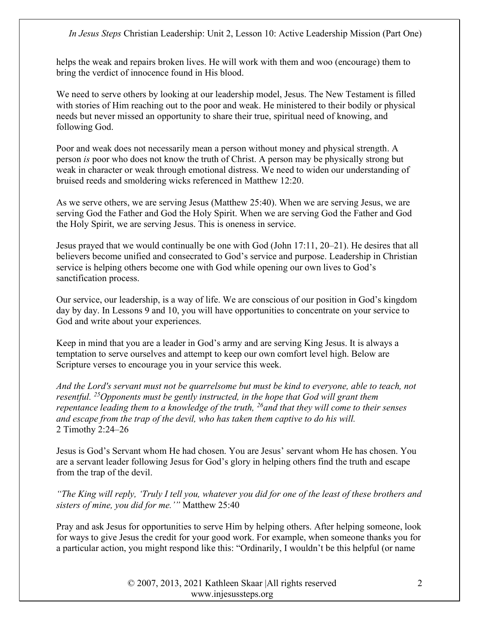helps the weak and repairs broken lives. He will work with them and woo (encourage) them to bring the verdict of innocence found in His blood.

We need to serve others by looking at our leadership model, Jesus. The New Testament is filled with stories of Him reaching out to the poor and weak. He ministered to their bodily or physical needs but never missed an opportunity to share their true, spiritual need of knowing, and following God.

Poor and weak does not necessarily mean a person without money and physical strength. A person is poor who does not know the truth of Christ. A person may be physically strong but weak in character or weak through emotional distress. We need to widen our understanding of bruised reeds and smoldering wicks referenced in Matthew 12:20.

As we serve others, we are serving Jesus (Matthew 25:40). When we are serving Jesus, we are serving God the Father and God the Holy Spirit. When we are serving God the Father and God the Holy Spirit, we are serving Jesus. This is oneness in service.

Jesus prayed that we would continually be one with God (John 17:11, 20–21). He desires that all believers become unified and consecrated to God's service and purpose. Leadership in Christian service is helping others become one with God while opening our own lives to God's sanctification process.

Our service, our leadership, is a way of life. We are conscious of our position in God's kingdom day by day. In Lessons 9 and 10, you will have opportunities to concentrate on your service to God and write about your experiences.

Keep in mind that you are a leader in God's army and are serving King Jesus. It is always a temptation to serve ourselves and attempt to keep our own comfort level high. Below are Scripture verses to encourage you in your service this week.

And the Lord's servant must not be quarrelsome but must be kind to everyone, able to teach, not resentful. <sup>25</sup>Opponents must be gently instructed, in the hope that God will grant them repentance leading them to a knowledge of the truth,  $^{26}$  and that they will come to their senses and escape from the trap of the devil, who has taken them captive to do his will. 2 Timothy 2:24–26

Jesus is God's Servant whom He had chosen. You are Jesus' servant whom He has chosen. You are a servant leader following Jesus for God's glory in helping others find the truth and escape from the trap of the devil.

"The King will reply, 'Truly I tell you, whatever you did for one of the least of these brothers and sisters of mine, you did for me.'" Matthew 25:40

Pray and ask Jesus for opportunities to serve Him by helping others. After helping someone, look for ways to give Jesus the credit for your good work. For example, when someone thanks you for a particular action, you might respond like this: "Ordinarily, I wouldn't be this helpful (or name

> © 2007, 2013, 2021 Kathleen Skaar |All rights reserved www.injesussteps.org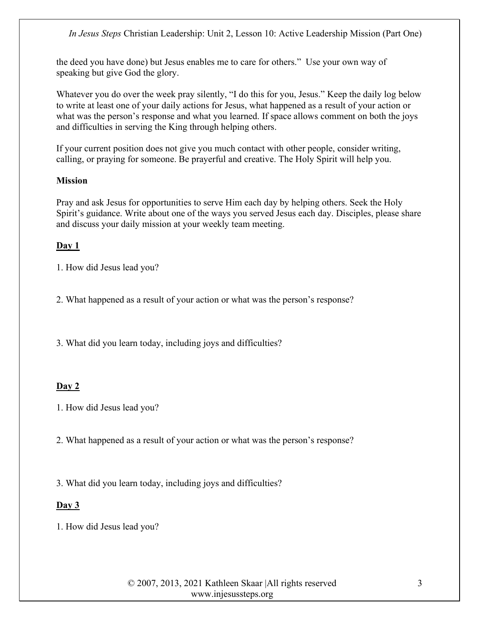the deed you have done) but Jesus enables me to care for others." Use your own way of speaking but give God the glory.

Whatever you do over the week pray silently, "I do this for you, Jesus." Keep the daily log below to write at least one of your daily actions for Jesus, what happened as a result of your action or what was the person's response and what you learned. If space allows comment on both the joys and difficulties in serving the King through helping others.

If your current position does not give you much contact with other people, consider writing, calling, or praying for someone. Be prayerful and creative. The Holy Spirit will help you.

#### **Mission**

Pray and ask Jesus for opportunities to serve Him each day by helping others. Seek the Holy Spirit's guidance. Write about one of the ways you served Jesus each day. Disciples, please share and discuss your daily mission at your weekly team meeting.

### Day 1

- 1. How did Jesus lead you?
- 2. What happened as a result of your action or what was the person's response?
- 3. What did you learn today, including joys and difficulties?

#### Day 2

- 1. How did Jesus lead you?
- 2. What happened as a result of your action or what was the person's response?
- 3. What did you learn today, including joys and difficulties?

### Day 3

1. How did Jesus lead you?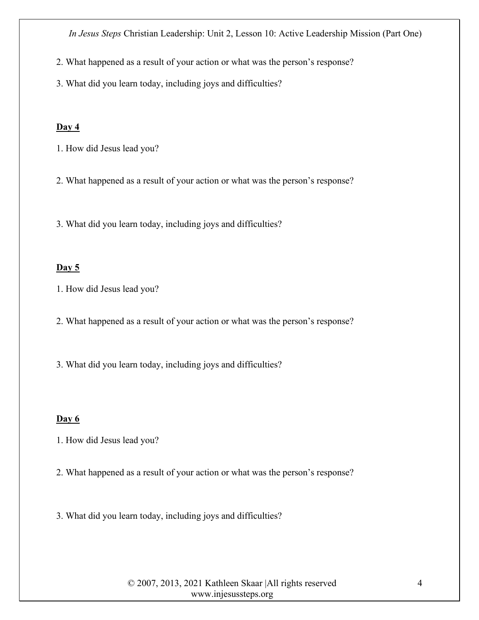2. What happened as a result of your action or what was the person's response?

3. What did you learn today, including joys and difficulties?

#### Day 4

- 1. How did Jesus lead you?
- 2. What happened as a result of your action or what was the person's response?

3. What did you learn today, including joys and difficulties?

#### Day 5

- 1. How did Jesus lead you?
- 2. What happened as a result of your action or what was the person's response?
- 3. What did you learn today, including joys and difficulties?

#### Day 6

- 1. How did Jesus lead you?
- 2. What happened as a result of your action or what was the person's response?
- 3. What did you learn today, including joys and difficulties?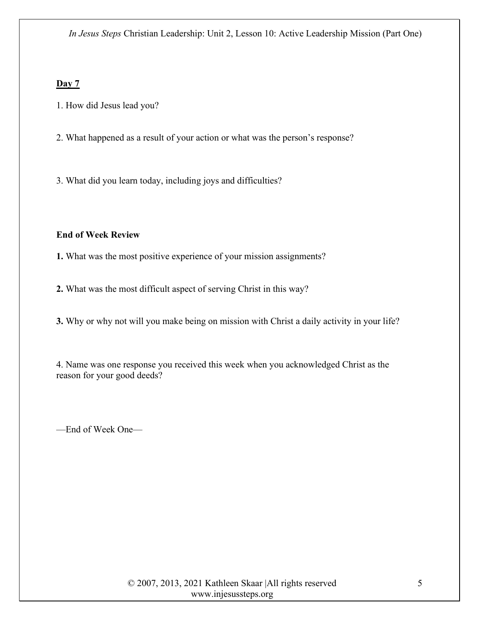## Day 7

- 1. How did Jesus lead you?
- 2. What happened as a result of your action or what was the person's response?
- 3. What did you learn today, including joys and difficulties?

## End of Week Review

1. What was the most positive experience of your mission assignments?

2. What was the most difficult aspect of serving Christ in this way?

3. Why or why not will you make being on mission with Christ a daily activity in your life?

4. Name was one response you received this week when you acknowledged Christ as the reason for your good deeds?

—End of Week One—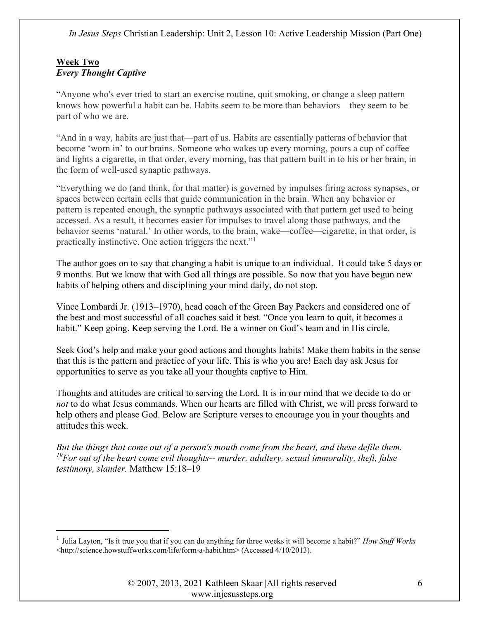## Week Two Every Thought Captive

"Anyone who's ever tried to start an exercise routine, quit smoking, or change a sleep pattern knows how powerful a habit can be. Habits seem to be more than behaviors—they seem to be part of who we are.

"And in a way, habits are just that—part of us. Habits are essentially patterns of behavior that become 'worn in' to our brains. Someone who wakes up every morning, pours a cup of coffee and lights a cigarette, in that order, every morning, has that pattern built in to his or her brain, in the form of well-used synaptic pathways.

"Everything we do (and think, for that matter) is governed by impulses firing across synapses, or spaces between certain cells that guide communication in the brain. When any behavior or pattern is repeated enough, the synaptic pathways associated with that pattern get used to being accessed. As a result, it becomes easier for impulses to travel along those pathways, and the behavior seems 'natural.' In other words, to the brain, wake—coffee—cigarette, in that order, is practically instinctive. One action triggers the next."<sup>1</sup>

The author goes on to say that changing a habit is unique to an individual. It could take 5 days or 9 months. But we know that with God all things are possible. So now that you have begun new habits of helping others and disciplining your mind daily, do not stop.

Vince Lombardi Jr. (1913–1970), head coach of the Green Bay Packers and considered one of the best and most successful of all coaches said it best. "Once you learn to quit, it becomes a habit." Keep going. Keep serving the Lord. Be a winner on God's team and in His circle.

Seek God's help and make your good actions and thoughts habits! Make them habits in the sense that this is the pattern and practice of your life. This is who you are! Each day ask Jesus for opportunities to serve as you take all your thoughts captive to Him.

Thoughts and attitudes are critical to serving the Lord. It is in our mind that we decide to do or not to do what Jesus commands. When our hearts are filled with Christ, we will press forward to help others and please God. Below are Scripture verses to encourage you in your thoughts and attitudes this week.

But the things that come out of a person's mouth come from the heart, and these defile them.  $19$ For out of the heart come evil thoughts-- murder, adultery, sexual immorality, theft, false testimony, slander. Matthew 15:18–19

<sup>&</sup>lt;sup>1</sup> Julia Layton, "Is it true you that if you can do anything for three weeks it will become a habit?" *How Stuff Works* <http://science.howstuffworks.com/life/form-a-habit.htm> (Accessed 4/10/2013).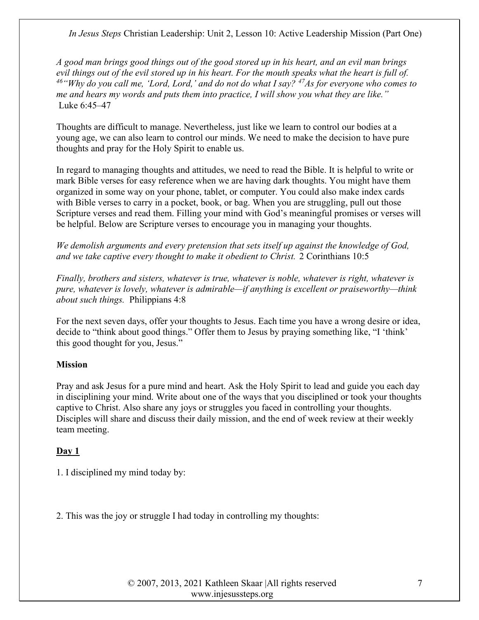A good man brings good things out of the good stored up in his heart, and an evil man brings evil things out of the evil stored up in his heart. For the mouth speaks what the heart is full of. <sup>46</sup> "Why do you call me, 'Lord, Lord,' and do not do what I say?  $47\text{As}$  for everyone who comes to me and hears my words and puts them into practice, I will show you what they are like." Luke 6:45–47

Thoughts are difficult to manage. Nevertheless, just like we learn to control our bodies at a young age, we can also learn to control our minds. We need to make the decision to have pure thoughts and pray for the Holy Spirit to enable us.

In regard to managing thoughts and attitudes, we need to read the Bible. It is helpful to write or mark Bible verses for easy reference when we are having dark thoughts. You might have them organized in some way on your phone, tablet, or computer. You could also make index cards with Bible verses to carry in a pocket, book, or bag. When you are struggling, pull out those Scripture verses and read them. Filling your mind with God's meaningful promises or verses will be helpful. Below are Scripture verses to encourage you in managing your thoughts.

We demolish arguments and every pretension that sets itself up against the knowledge of God, and we take captive every thought to make it obedient to Christ. 2 Corinthians 10:5

Finally, brothers and sisters, whatever is true, whatever is noble, whatever is right, whatever is pure, whatever is lovely, whatever is admirable—if anything is excellent or praiseworthy—think about such things. Philippians 4:8

For the next seven days, offer your thoughts to Jesus. Each time you have a wrong desire or idea, decide to "think about good things." Offer them to Jesus by praying something like, "I 'think' this good thought for you, Jesus."

### **Mission**

Pray and ask Jesus for a pure mind and heart. Ask the Holy Spirit to lead and guide you each day in disciplining your mind. Write about one of the ways that you disciplined or took your thoughts captive to Christ. Also share any joys or struggles you faced in controlling your thoughts. Disciples will share and discuss their daily mission, and the end of week review at their weekly team meeting.

### Day 1

1. I disciplined my mind today by:

2. This was the joy or struggle I had today in controlling my thoughts: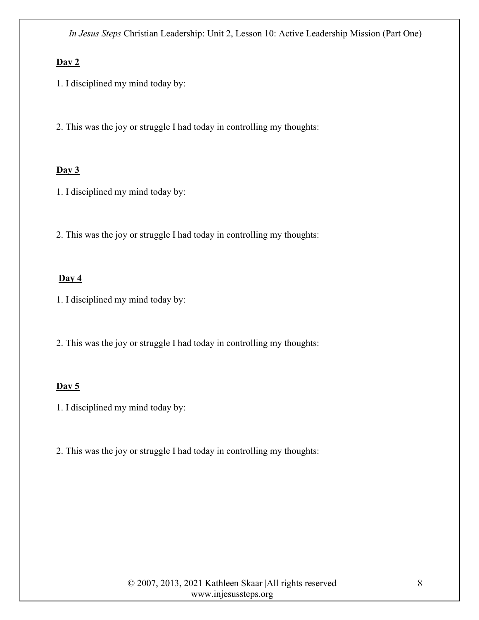## Day 2

1. I disciplined my mind today by:

2. This was the joy or struggle I had today in controlling my thoughts:

## $Day 3$

1. I disciplined my mind today by:

2. This was the joy or struggle I had today in controlling my thoughts:

#### Day 4

1. I disciplined my mind today by:

2. This was the joy or struggle I had today in controlling my thoughts:

#### Day  $5$

1. I disciplined my mind today by:

2. This was the joy or struggle I had today in controlling my thoughts: